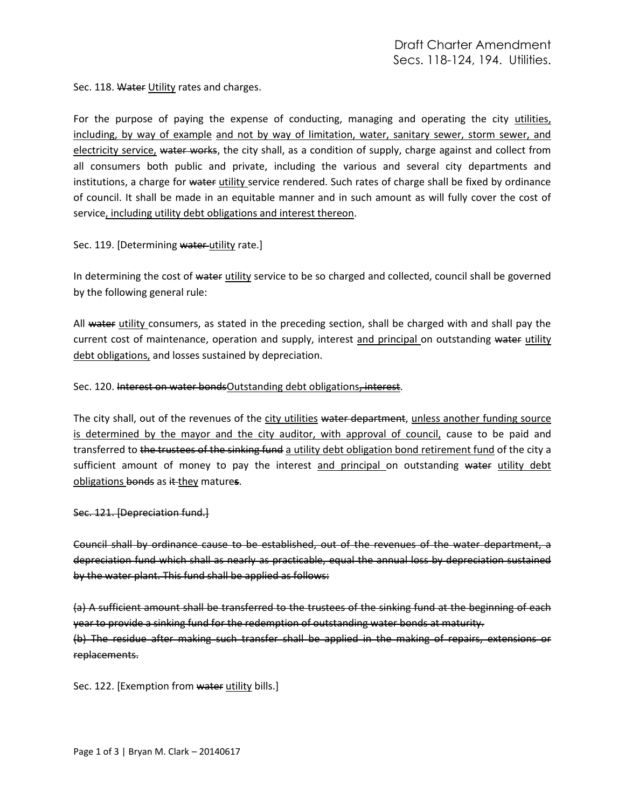Sec. 118. Water Utility rates and charges.

For the purpose of paying the expense of conducting, managing and operating the city utilities, including, by way of example and not by way of limitation, water, sanitary sewer, storm sewer, and electricity service, water works, the city shall, as a condition of supply, charge against and collect from all consumers both public and private, including the various and several city departments and institutions, a charge for water utility service rendered. Such rates of charge shall be fixed by ordinance of council. It shall be made in an equitable manner and in such amount as will fully cover the cost of service, including utility debt obligations and interest thereon.

Sec. 119. [Determining water utility rate.]

In determining the cost of water utility service to be so charged and collected, council shall be governed by the following general rule:

All water utility consumers, as stated in the preceding section, shall be charged with and shall pay the current cost of maintenance, operation and supply, interest and principal on outstanding water utility debt obligations, and losses sustained by depreciation.

Sec. 120. Interest on water bondsOutstanding debt obligations, interest.

The city shall, out of the revenues of the city utilities water department, unless another funding source is determined by the mayor and the city auditor, with approval of council, cause to be paid and transferred to the trustees of the sinking fund a utility debt obligation bond retirement fund of the city a sufficient amount of money to pay the interest and principal on outstanding water utility debt obligations bonds as it they mature**s**.

Sec. 121. [Depreciation fund.]

Council shall by ordinance cause to be established, out of the revenues of the water department, a depreciation fund which shall as nearly as practicable, equal the annual loss by depreciation sustained by the water plant. This fund shall be applied as follows:

(a) A sufficient amount shall be transferred to the trustees of the sinking fund at the beginning of each year to provide a sinking fund for the redemption of outstanding water bonds at maturity. (b) The residue after making such transfer shall be applied in the making of repairs, extensions or replacements.

Sec. 122. [Exemption from water utility bills.]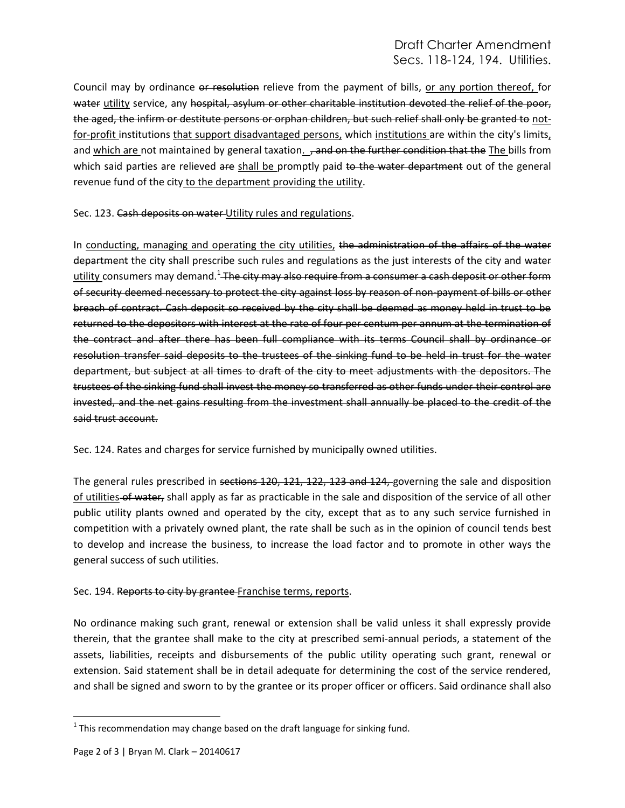## Draft Charter Amendment Secs. 118-124, 194. Utilities.

Council may by ordinance or resolution relieve from the payment of bills, or any portion thereof, for water utility service, any hospital, asylum or other charitable institution devoted the relief of the poor, the aged, the infirm or destitute persons or orphan children, but such relief shall only be granted to notfor-profit institutions that support disadvantaged persons, which institutions are within the city's limits, and which are not maintained by general taxation. , and on the further condition that the The bills from which said parties are relieved are shall be promptly paid to the water department out of the general revenue fund of the city to the department providing the utility.

Sec. 123. Cash deposits on water Utility rules and regulations.

In conducting, managing and operating the city utilities, the administration of the affairs of the water department the city shall prescribe such rules and regulations as the just interests of the city and water utility consumers may demand.<sup>1</sup> The city may also require from a consumer a cash deposit or other form of security deemed necessary to protect the city against loss by reason of non-payment of bills or other breach of contract. Cash deposit so received by the city shall be deemed as money held in trust to be returned to the depositors with interest at the rate of four per centum per annum at the termination of the contract and after there has been full compliance with its terms Council shall by ordinance or resolution transfer said deposits to the trustees of the sinking fund to be held in trust for the water department, but subject at all times to draft of the city to meet adjustments with the depositors. The trustees of the sinking fund shall invest the money so transferred as other funds under their control are invested, and the net gains resulting from the investment shall annually be placed to the credit of the said trust account.

Sec. 124. Rates and charges for service furnished by municipally owned utilities.

The general rules prescribed in sections 120, 121, 122, 123 and 124, governing the sale and disposition of utilities of water, shall apply as far as practicable in the sale and disposition of the service of all other public utility plants owned and operated by the city, except that as to any such service furnished in competition with a privately owned plant, the rate shall be such as in the opinion of council tends best to develop and increase the business, to increase the load factor and to promote in other ways the general success of such utilities.

## Sec. 194. Reports to city by grantee Franchise terms, reports.

No ordinance making such grant, renewal or extension shall be valid unless it shall expressly provide therein, that the grantee shall make to the city at prescribed semi-annual periods, a statement of the assets, liabilities, receipts and disbursements of the public utility operating such grant, renewal or extension. Said statement shall be in detail adequate for determining the cost of the service rendered, and shall be signed and sworn to by the grantee or its proper officer or officers. Said ordinance shall also

 $\overline{\phantom{a}}$ 

 $^{1}$  This recommendation may change based on the draft language for sinking fund.